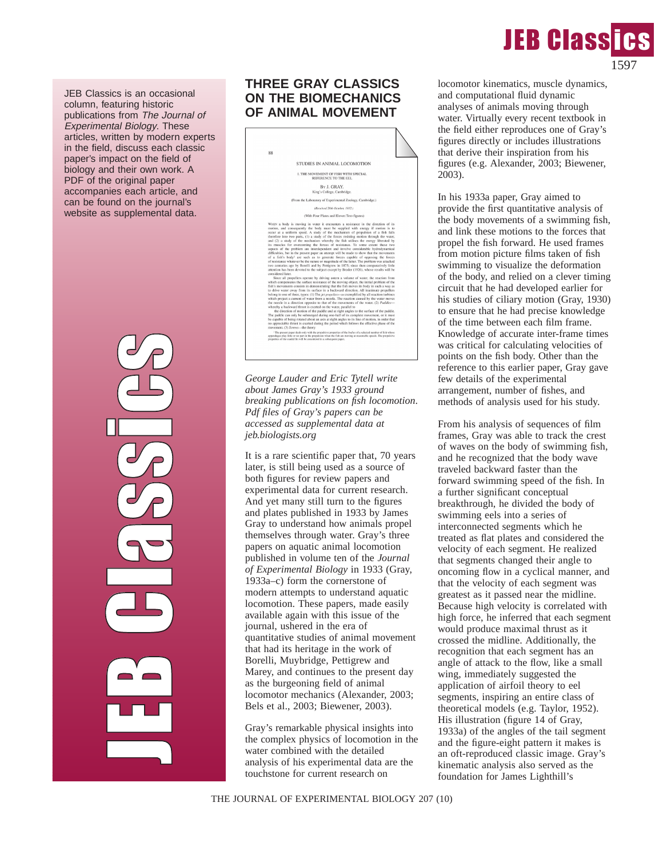## **JEB Class[** 1597

JEB Classics is an occasional column, featuring historic publications from The Journal of Experimental Biology. These articles, written by modern experts in the field, discuss each classic paper's impact on the field of biology and their own work. A PDF of the original paper accompanies each article, and can be found on the journal's website as supplemental data.



## **THREE GRAY CLASSICS ON THE BIOMECHANICS OF ANIMAL MOVEMENT**



*George Lauder and Eric Tytell write about James Gray's 1933 ground breaking publications on fish locomotion*. *Pdf files of Gray's papers can be accessed as supplemental data at jeb.biologists.org*

It is a rare scientific paper that, 70 years later, is still being used as a source of both figures for review papers and experimental data for current research. And yet many still turn to the figures and plates published in 1933 by James Gray to understand how animals propel themselves through water. Gray's three papers on aquatic animal locomotion published in volume ten of the *Journal of Experimental Biology* in 1933 (Gray, 1933a–c) form the cornerstone of modern attempts to understand aquatic locomotion. These papers, made easily available again with this issue of the journal, ushered in the era of quantitative studies of animal movement that had its heritage in the work of Borelli, Muybridge, Pettigrew and Marey, and continues to the present day as the burgeoning field of animal locomotor mechanics (Alexander, 2003; Bels et al., 2003; Biewener, 2003).

Gray's remarkable physical insights into the complex physics of locomotion in the water combined with the detailed analysis of his experimental data are the touchstone for current research on

locomotor kinematics, muscle dynamics, and computational fluid dynamic analyses of animals moving through water. Virtually every recent textbook in the field either reproduces one of Gray's figures directly or includes illustrations that derive their inspiration from his figures (e.g. Alexander, 2003; Biewener, 2003).

In his 1933a paper, Gray aimed to provide the first quantitative analysis of the body movements of a swimming fish, and link these motions to the forces that propel the fish forward. He used frames from motion picture films taken of fish swimming to visualize the deformation of the body, and relied on a clever timing circuit that he had developed earlier for his studies of ciliary motion (Gray, 1930) to ensure that he had precise knowledge of the time between each film frame. Knowledge of accurate inter-frame times was critical for calculating velocities of points on the fish body. Other than the reference to this earlier paper, Gray gave few details of the experimental arrangement, number of fishes, and methods of analysis used for his study.

From his analysis of sequences of film frames, Gray was able to track the crest of waves on the body of swimming fish, and he recognized that the body wave traveled backward faster than the forward swimming speed of the fish. In a further significant conceptual breakthrough, he divided the body of swimming eels into a series of interconnected segments which he treated as flat plates and considered the velocity of each segment. He realized that segments changed their angle to oncoming flow in a cyclical manner, and that the velocity of each segment was greatest as it passed near the midline. Because high velocity is correlated with high force, he inferred that each segment would produce maximal thrust as it crossed the midline. Additionally, the recognition that each segment has an angle of attack to the flow, like a small wing, immediately suggested the application of airfoil theory to eel segments, inspiring an entire class of theoretical models (e.g. Taylor, 1952). His illustration (figure 14 of Gray, 1933a) of the angles of the tail segment and the figure-eight pattern it makes is an oft-reproduced classic image. Gray's kinematic analysis also served as the foundation for James Lighthill's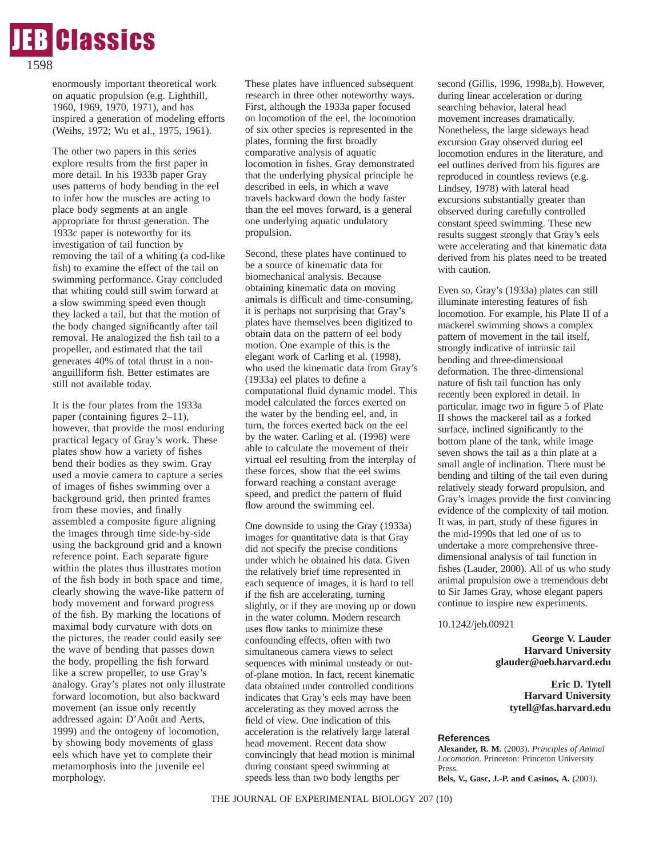

1598

enormously important theoretical work on aquatic propulsion (e.g. Lighthill, 1960, 1969, 1970, 1971), and has inspired a generation of modeling efforts (Weihs, 1972; Wu et al., 1975, 1961).

The other two papers in this series explore results from the first paper in more detail. In his 1933b paper Gray uses patterns of body bending in the eel to infer how the muscles are acting to place body segments at an angle appropriate for thrust generation. The 1933c paper is noteworthy for its investigation of tail function by removing the tail of a whiting (a cod-like fish) to examine the effect of the tail on swimming performance. Gray concluded that whiting could still swim forward at a slow swimming speed even though they lacked a tail, but that the motion of the body changed significantly after tail removal. He analogized the fish tail to a propeller, and estimated that the tail generates 40% of total thrust in a nonanguilliform fish. Better estimates are still not available today.

It is the four plates from the 1933a paper (containing figures 2–11), however, that provide the most enduring practical legacy of Gray's work. These plates show how a variety of fishes bend their bodies as they swim. Gray used a movie camera to capture a series of images of fishes swimming over a background grid, then printed frames from these movies, and finally assembled a composite figure aligning the images through time side-by-side using the background grid and a known reference point. Each separate figure within the plates thus illustrates motion of the fish body in both space and time, clearly showing the wave-like pattern of body movement and forward progress of the fish. By marking the locations of maximal body curvature with dots on the pictures, the reader could easily see the wave of bending that passes down the body, propelling the fish forward like a screw propeller, to use Gray's analogy. Gray's plates not only illustrate forward locomotion, but also backward movement (an issue only recently addressed again: D'Août and Aerts, 1999) and the ontogeny of locomotion, by showing body movements of glass eels which have yet to complete their metamorphosis into the juvenile eel morphology.

These plates have influenced subsequent research in three other noteworthy ways. First, although the 1933a paper focused on locomotion of the eel, the locomotion of six other species is represented in the plates, forming the first broadly comparative analysis of aquatic locomotion in fishes. Gray demonstrated that the underlying physical principle he described in eels, in which a wave travels backward down the body faster than the eel moves forward, is a general one underlying aquatic undulatory propulsion.

Second, these plates have continued to be a source of kinematic data for biomechanical analysis. Because obtaining kinematic data on moving animals is difficult and time-consuming, it is perhaps not surprising that Gray's plates have themselves been digitized to obtain data on the pattern of eel body motion. One example of this is the elegant work of Carling et al. (1998), who used the kinematic data from Gray's (1933a) eel plates to define a computational fluid dynamic model. This model calculated the forces exerted on the water by the bending eel, and, in turn, the forces exerted back on the eel by the water. Carling et al. (1998) were able to calculate the movement of their virtual eel resulting from the interplay of these forces, show that the eel swims forward reaching a constant average speed, and predict the pattern of fluid flow around the swimming eel.

One downside to using the Gray (1933a) images for quantitative data is that Gray did not specify the precise conditions under which he obtained his data. Given the relatively brief time represented in each sequence of images, it is hard to tell if the fish are accelerating, turning slightly, or if they are moving up or down in the water column. Modern research uses flow tanks to minimize these confounding effects, often with two simultaneous camera views to select sequences with minimal unsteady or outof-plane motion. In fact, recent kinematic data obtained under controlled conditions indicates that Gray's eels may have been accelerating as they moved across the field of view. One indication of this acceleration is the relatively large lateral head movement. Recent data show convincingly that head motion is minimal during constant speed swimming at speeds less than two body lengths per

second (Gillis, 1996, 1998a,b). However, during linear acceleration or during searching behavior, lateral head movement increases dramatically. Nonetheless, the large sideways head excursion Gray observed during eel locomotion endures in the literature, and eel outlines derived from his figures are reproduced in countless reviews (e.g. Lindsey, 1978) with lateral head excursions substantially greater than observed during carefully controlled constant speed swimming. These new results suggest strongly that Gray's eels were accelerating and that kinematic data derived from his plates need to be treated with caution.

Even so, Gray's (1933a) plates can still illuminate interesting features of fish locomotion. For example, his Plate II of a mackerel swimming shows a complex pattern of movement in the tail itself, strongly indicative of intrinsic tail bending and three-dimensional deformation. The three-dimensional nature of fish tail function has only recently been explored in detail. In particular, image two in figure 5 of Plate II shows the mackerel tail as a forked surface, inclined significantly to the bottom plane of the tank, while image seven shows the tail as a thin plate at a small angle of inclination. There must be bending and tilting of the tail even during relatively steady forward propulsion, and Gray's images provide the first convincing evidence of the complexity of tail motion. It was, in part, study of these figures in the mid-1990s that led one of us to undertake a more comprehensive threedimensional analysis of tail function in fishes (Lauder, 2000). All of us who study animal propulsion owe a tremendous debt to Sir James Gray, whose elegant papers continue to inspire new experiments.

10.1242/jeb.00921

**George V. Lauder Harvard University glauder@oeb.harvard.edu**

> **Eric D. Tytell Harvard University tytell@fas.harvard.edu**

## **References**

**Alexander, R. M.** (2003). *Principles of Animal Locomotion*. Princeton: Princeton University Press.

**Bels, V., Gasc, J.-P. and Casinos, A.** (2003).